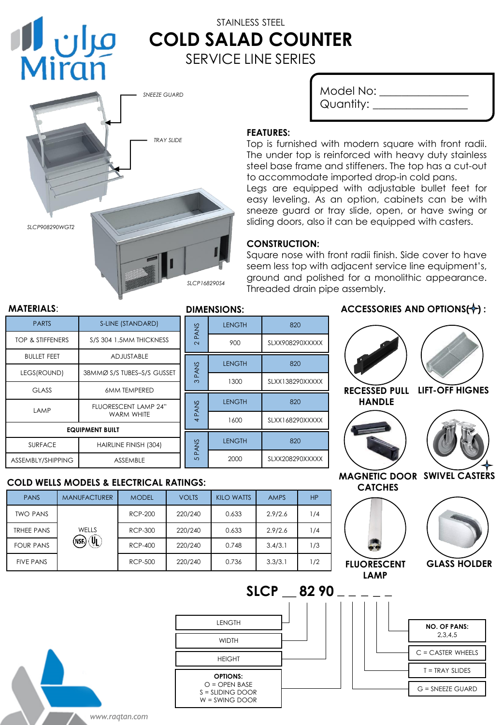

# STAINLESS STEEL **COLD SALAD COUNTER** SERVICE LINE SERIES



| Model No: |  |
|-----------|--|
| Quantity: |  |

#### **FEATURES:**

Top is furnished with modern square with front radii. The under top is reinforced with heavy duty stainless steel base frame and stiffeners. The top has a cut-out to accommodate imported drop-in cold pans.

Legs are equipped with adjustable bullet feet for easy leveling. As an option, cabinets can be with sneeze guard or tray slide, open, or have swing or sliding doors, also it can be equipped with casters.

# **CONSTRUCTION:**

 $I$  FNGTH  $\overline{1}$  820

LENGTH 820

LENGTH 820

LENGTH 820

Square nose with front radii finish. Side cover to have seem less top with adjacent service line equipment's, ground and polished for a monolithic appearance. Threaded drain pipe assembly.

#### **MATERIALS**: **DIMENSIONS:**

| <b>PARTS</b>                        | S-LINE (STANDARD)                         |                  |  |
|-------------------------------------|-------------------------------------------|------------------|--|
| TOP & STIFFENERS                    | S/S 304 1.5MM THICKNESS                   | 2 PANS           |  |
| <b>BULLET FEET</b>                  | <b>ADJUSTABLE</b>                         |                  |  |
| LEGS(ROUND)                         | 38MMØ S/S TUBES-S/S GUSSET                | <b>PANS</b><br>ო |  |
| <b>GLASS</b><br><b>6MM TEMPERED</b> |                                           |                  |  |
| <b>LAMP</b>                         | <b>FLUORESCENT LAMP 24"</b><br>WARM WHITE | 4 PANS           |  |
| <b>EQUIPMENT BUILT</b>              |                                           |                  |  |
| <b>SURFACE</b>                      | HAIRLINE FINISH (304)                     | <b>PANS</b>      |  |
| ASSEMBLY/SHIPPING                   | ASSEMBLE                                  | ഥ                |  |

# **COLD WELLS MODELS & ELECTRICAL RATINGS:**

| <b>PANS</b>       | <b>MANUFACTURER</b>   | <b>MODEL</b>   | <b>VOLTS</b> | KILO WATTS | <b>AMPS</b> | <b>HP</b> |
|-------------------|-----------------------|----------------|--------------|------------|-------------|-----------|
| <b>TWO PANS</b>   | WELLS<br>Ţ,<br>(NSF.) | <b>RCP-200</b> | 220/240      | 0.633      | 2.9/2.6     | 1/4       |
| <b>TRHEE PANS</b> |                       | <b>RCP-300</b> | 220/240      | 0.633      | 2.9/2.6     | 1/4       |
| <b>FOUR PANS</b>  |                       | RCP-400        | 220/240      | 0.748      | 3.4/3.1     | 1/3       |
| <b>FIVE PANS</b>  |                       | <b>RCP-500</b> | 220/240      | 0.736      | 3.3/3.1     | 1/2       |

# **ACCESSORIES AND OPTIONS(+):**



*www.raqtan.com* WIDTH **OPTIONS:**  $O =$  OPEN BASE S = SLIDING DOOR W = SWING DOOR HEIGHT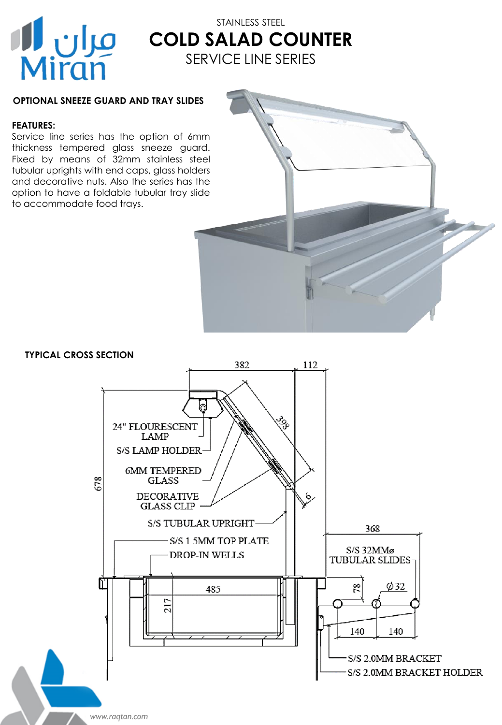

# STAINLESS STEEL **COLD SALAD COUNTER** SERVICE LINE SERIES

# **OPTIONAL SNEEZE GUARD AND TRAY SLIDES**

## **FEATURES:**

Service line series has the option of 6mm thickness tempered glass sneeze guard. Fixed by means of 32mm stainless steel tubular uprights with end caps, glass holders and decorative nuts. Also the series has the option to have a foldable tubular tray slide to accommodate food trays.



### **TYPICAL CROSS SECTION**



*www.raqtan.com*